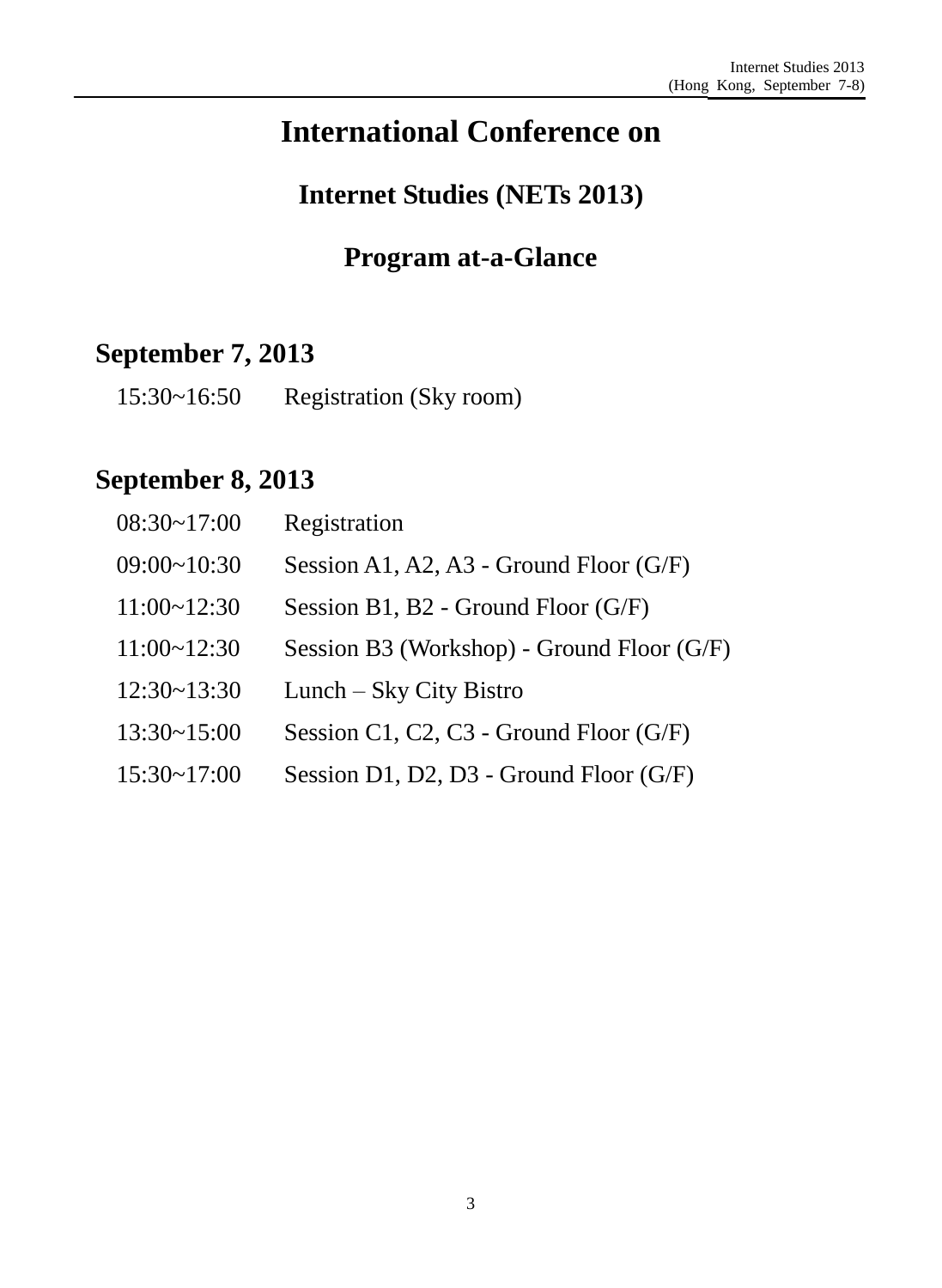# **International Conference on**

# **Internet Studies (NETs 2013)**

## **Program at-a-Glance**

# **September 7, 2013**

| 15:30~16:50 | Registration (Sky room) |  |  |
|-------------|-------------------------|--|--|
|-------------|-------------------------|--|--|

## **September 8, 2013**

| $08:30-17:00$      | Registration                               |
|--------------------|--------------------------------------------|
| 09:00~10:30        | Session A1, A2, A3 - Ground Floor $(G/F)$  |
| $11:00 \sim 12:30$ | Session B1, B2 - Ground Floor (G/F)        |
| $11:00 \sim 12:30$ | Session B3 (Workshop) - Ground Floor (G/F) |
| 12:30~13:30        | Lunch – Sky City Bistro                    |
| $13:30 \sim 15:00$ | Session C1, C2, C3 - Ground Floor $(G/F)$  |
| $15:30 \sim 17:00$ | Session D1, D2, D3 - Ground Floor $(G/F)$  |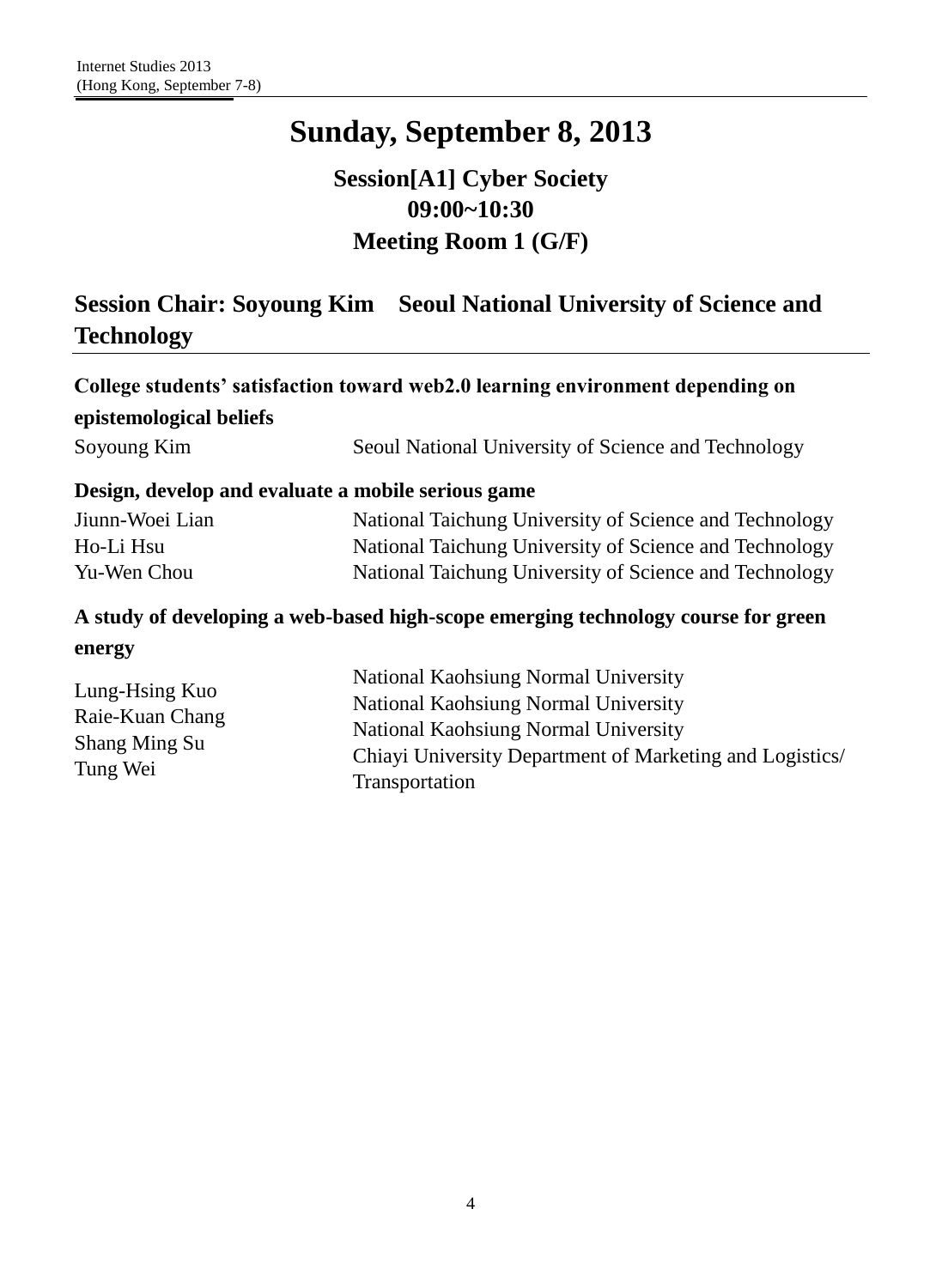## **Session[A1] Cyber Society 09:00~10:30 Meeting Room 1 (G/F)**

## **Session Chair: Soyoung Kim Seoul National University of Science and Technology**

|                                                                       | College students' satisfaction toward web2.0 learning environment depending on    |
|-----------------------------------------------------------------------|-----------------------------------------------------------------------------------|
| epistemological beliefs                                               |                                                                                   |
| Soyoung Kim                                                           | Seoul National University of Science and Technology                               |
|                                                                       | Design, develop and evaluate a mobile serious game                                |
| Jiunn-Woei Lian                                                       | National Taichung University of Science and Technology                            |
| Ho-Li Hsu                                                             | National Taichung University of Science and Technology                            |
| Yu-Wen Chou                                                           | National Taichung University of Science and Technology                            |
|                                                                       | A study of developing a web-based high-scope emerging technology course for green |
| energy                                                                |                                                                                   |
|                                                                       | National Kaohsiung Normal University                                              |
| Lung-Hsing Kuo<br>Raie-Kuan Chang<br><b>Shang Ming Su</b><br>Tung Wei | National Kaohsiung Normal University                                              |
|                                                                       | National Kaohsiung Normal University                                              |
|                                                                       | Chiayi University Department of Marketing and Logistics/                          |
|                                                                       | Transportation                                                                    |
|                                                                       |                                                                                   |
|                                                                       |                                                                                   |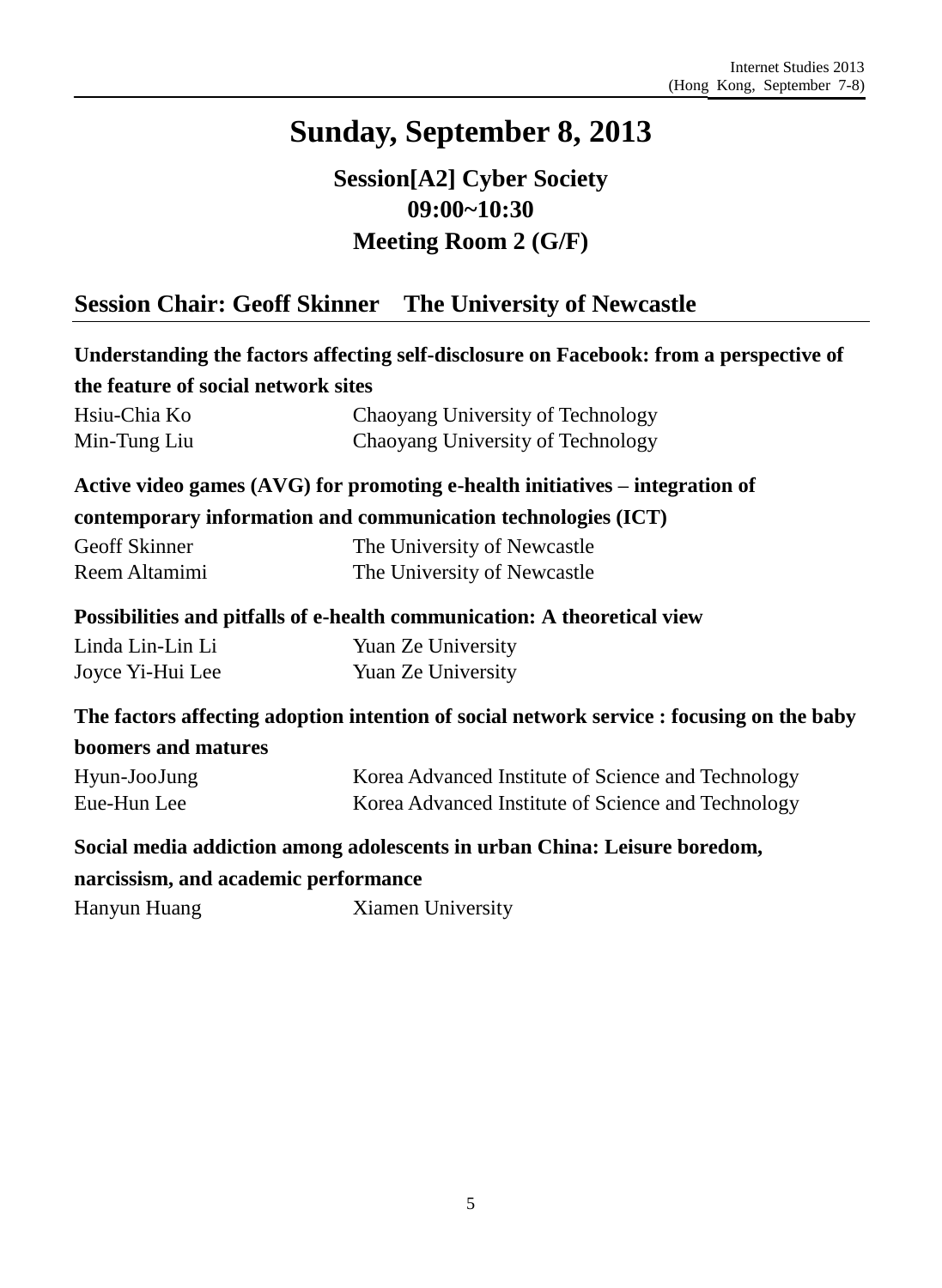## **Session[A2] Cyber Society 09:00~10:30 Meeting Room 2 (G/F)**

## **Session Chair: Geoff Skinner The University of Newcastle**

|                                      | Understanding the factors affecting self-disclosure on Facebook: from a perspective of    |
|--------------------------------------|-------------------------------------------------------------------------------------------|
| the feature of social network sites  |                                                                                           |
| Hsiu-Chia Ko                         | Chaoyang University of Technology                                                         |
| Min-Tung Liu                         | Chaoyang University of Technology                                                         |
|                                      | Active video games $(AVG)$ for promoting e-health initiatives – integration of            |
|                                      | contemporary information and communication technologies (ICT)                             |
| Geoff Skinner                        | The University of Newcastle                                                               |
| Reem Altamimi                        | The University of Newcastle                                                               |
|                                      | Possibilities and pitfalls of e-health communication: A theoretical view                  |
| Linda Lin-Lin Li                     | Yuan Ze University                                                                        |
| Joyce Yi-Hui Lee                     | Yuan Ze University                                                                        |
|                                      | The factors affecting adoption intention of social network service : focusing on the baby |
| boomers and matures                  |                                                                                           |
| Hyun-JooJung                         | Korea Advanced Institute of Science and Technology                                        |
| Eue-Hun Lee                          | Korea Advanced Institute of Science and Technology                                        |
|                                      | Social media addiction among adolescents in urban China: Leisure boredom,                 |
| narcissism, and academic performance |                                                                                           |

Hanyun Huang Xiamen University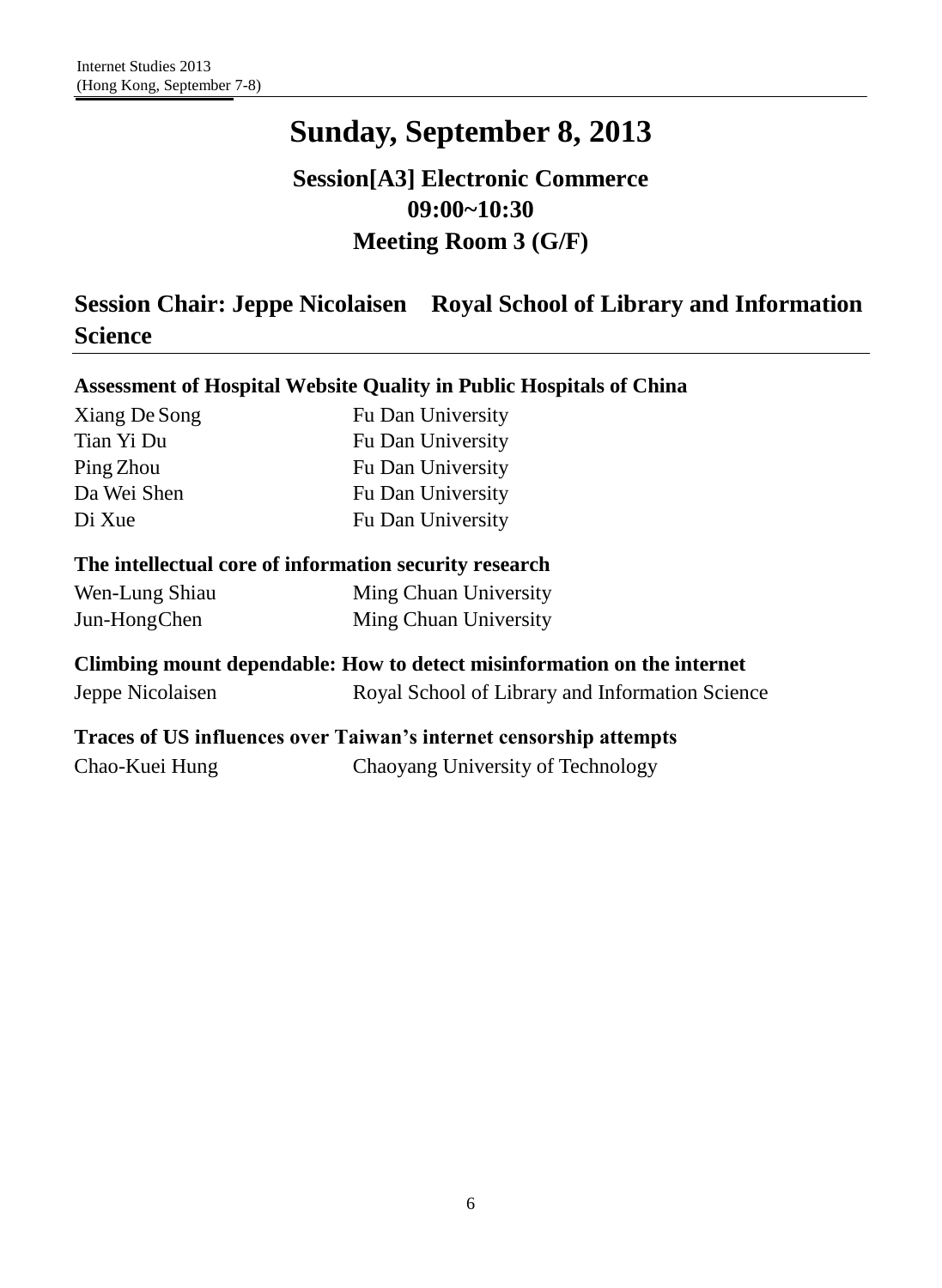## **Session[A3] Electronic Commerce 09:00~10:30 Meeting Room 3 (G/F)**

## **Session Chair: Jeppe Nicolaisen Royal School of Library and Information Science**

| Assessment of Hospital Website Quality in Public Hospitals of China     |                                                 |  |
|-------------------------------------------------------------------------|-------------------------------------------------|--|
| Xiang De Song                                                           | Fu Dan University                               |  |
| Tian Yi Du                                                              | Fu Dan University                               |  |
| Ping Zhou                                                               | Fu Dan University                               |  |
| Da Wei Shen                                                             | Fu Dan University                               |  |
| Di Xue                                                                  | Fu Dan University                               |  |
| The intellectual core of information security research                  |                                                 |  |
| Wen-Lung Shiau                                                          | Ming Chuan University                           |  |
| Jun-HongChen                                                            | Ming Chuan University                           |  |
| Climbing mount dependable: How to detect misinformation on the internet |                                                 |  |
| Jeppe Nicolaisen                                                        | Royal School of Library and Information Science |  |
| Traces of US influences over Taiwan's internet censorship attempts      |                                                 |  |

Chao-Kuei Hung Chaoyang University of Technology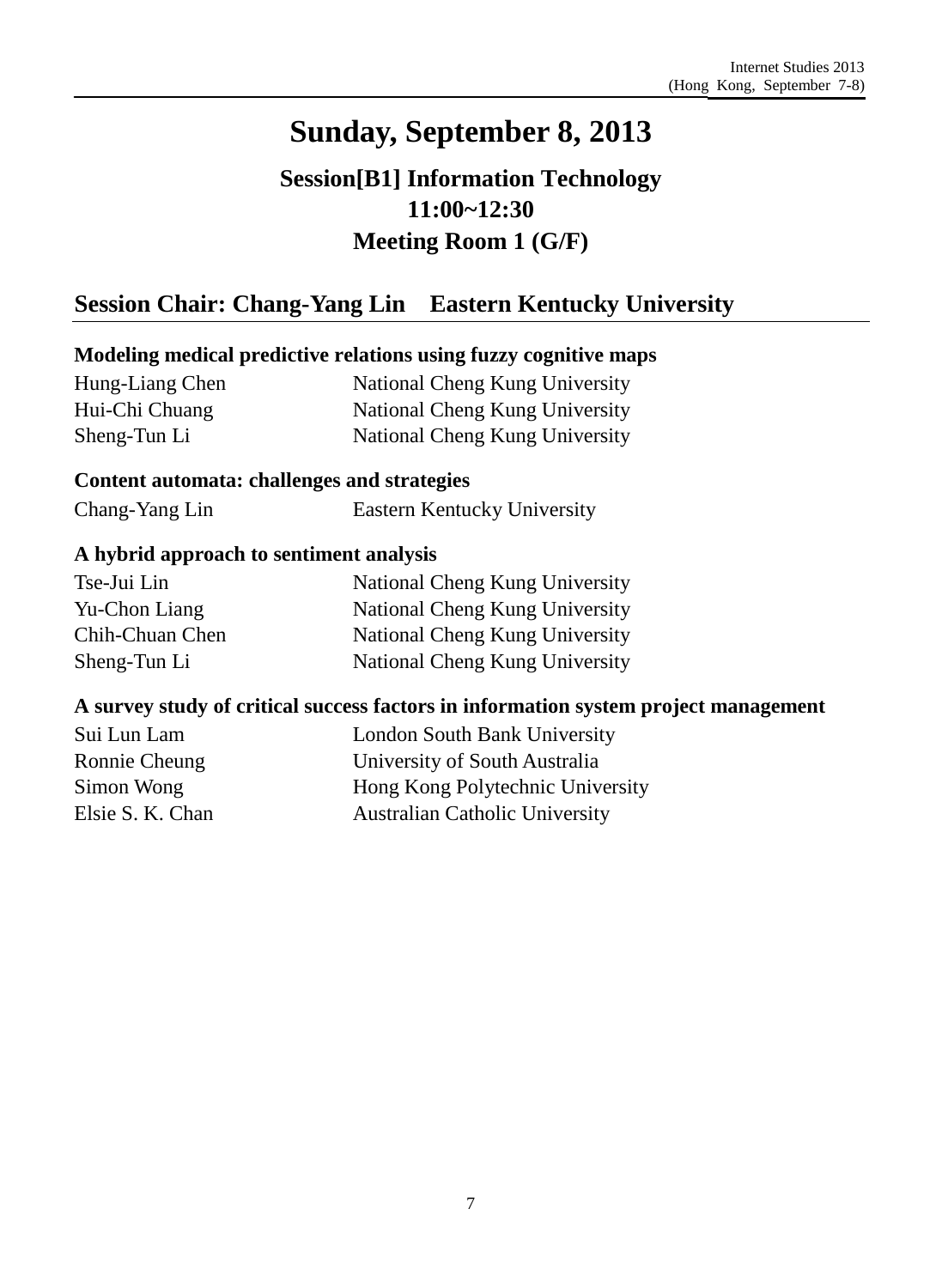## **Session[B1] Information Technology 11:00~12:30 Meeting Room 1 (G/F)**

## **Session Chair: Chang-Yang Lin Eastern Kentucky University**

### **Modeling medical predictive relations using fuzzy cognitive maps**

Hung-Liang Chen Hui-Chi Chuang Sheng-Tun Li

National Cheng Kung University National Cheng Kung University National Cheng Kung University

#### **Content automata: challenges and strategies**

Chang-Yang Lin Eastern Kentucky University

### **A hybrid approach to sentiment analysis**

| Tse-Jui Lin     | National Cheng Kung University |
|-----------------|--------------------------------|
| Yu-Chon Liang   | National Cheng Kung University |
| Chih-Chuan Chen | National Cheng Kung University |
| Sheng-Tun Li    | National Cheng Kung University |

### **A survey study of critical success factors in information system project management**

| Sui Lun Lam      | <b>London South Bank University</b>   |
|------------------|---------------------------------------|
| Ronnie Cheung    | University of South Australia         |
| Simon Wong       | Hong Kong Polytechnic University      |
| Elsie S. K. Chan | <b>Australian Catholic University</b> |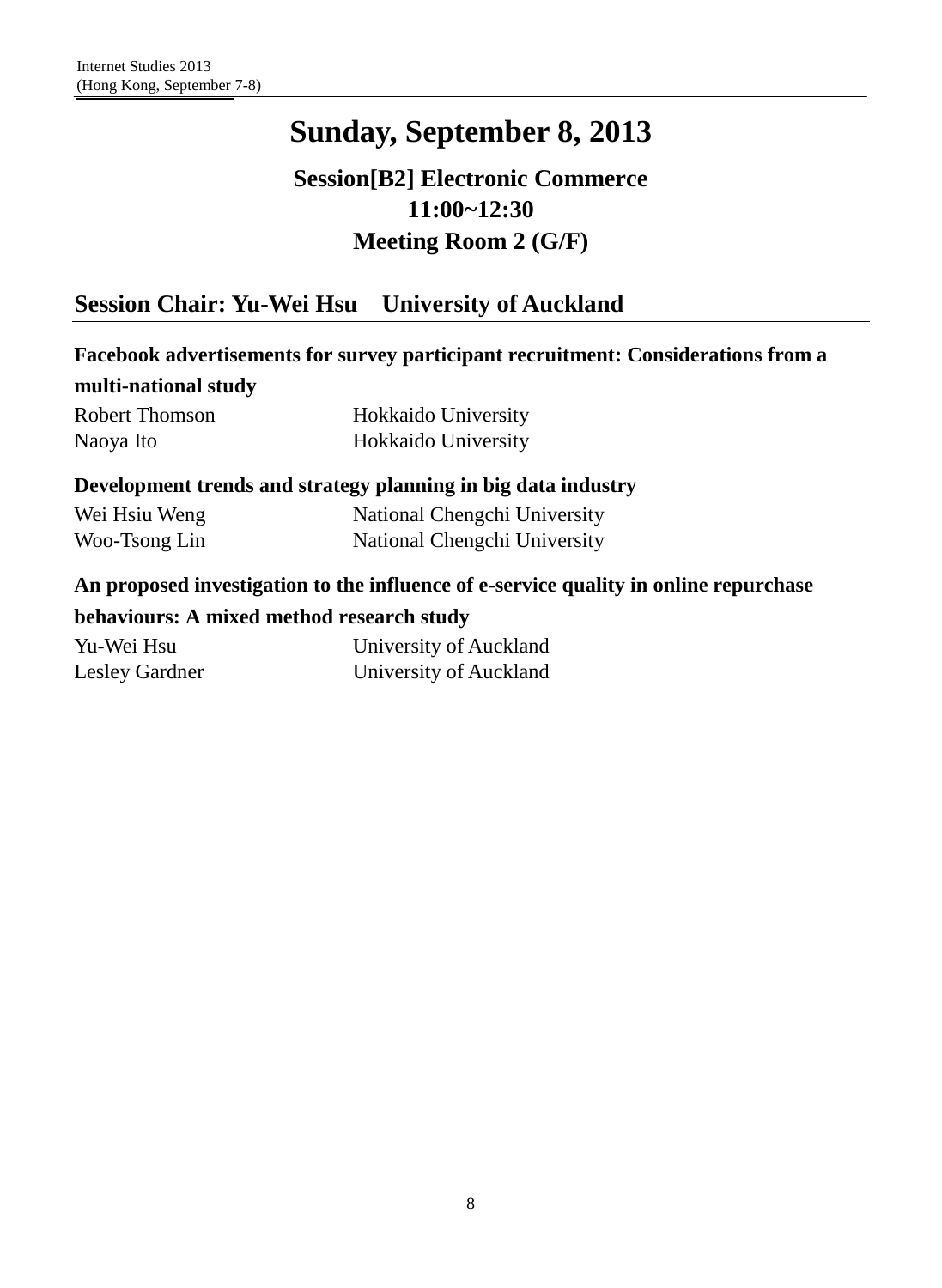## **Session[B2] Electronic Commerce 11:00~12:30 Meeting Room 2 (G/F)**

## **Session Chair: Yu-Wei Hsu University of Auckland**

|                                           | Facebook advertisements for survey participant recruitment: Considerations from a    |
|-------------------------------------------|--------------------------------------------------------------------------------------|
| multi-national study                      |                                                                                      |
| <b>Robert Thomson</b>                     | Hokkaido University                                                                  |
| Naoya Ito                                 | Hokkaido University                                                                  |
|                                           | Development trends and strategy planning in big data industry                        |
| Wei Hsiu Weng                             | National Chengchi University                                                         |
| Woo-Tsong Lin                             | National Chengchi University                                                         |
|                                           | An proposed investigation to the influence of e-service quality in online repurchase |
| behaviours: A mixed method research study |                                                                                      |
| Yu-Wei Hsu                                | University of Auckland                                                               |
| <b>Lesley Gardner</b>                     | University of Auckland                                                               |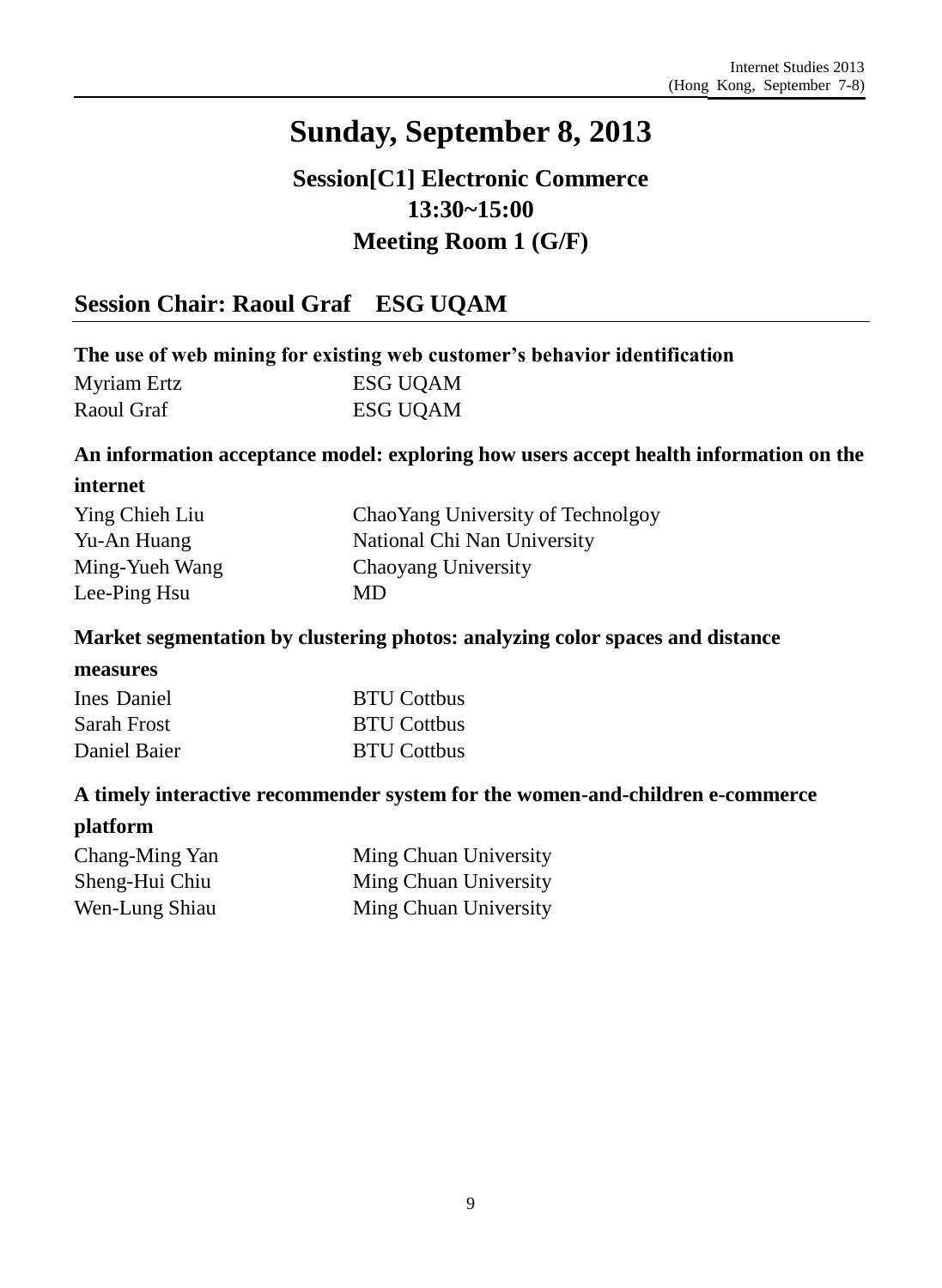## **Session[C1] Electronic Commerce 13:30~15:00 Meeting Room 1 (G/F)**

### **Session Chair: Raoul Graf ESG UQAM**

### **The use of web mining for existing web customer's behavior identification**

| Myriam Ertz | <b>ESG UQAM</b> |
|-------------|-----------------|
| Raoul Graf  | <b>ESG UQAM</b> |

#### **An information acceptance model: exploring how users accept health information on the**

#### **internet**

| Ying Chieh Liu | ChaoYang University of Technolgoy |
|----------------|-----------------------------------|
| Yu-An Huang    | National Chi Nan University       |
| Ming-Yueh Wang | Chaoyang University               |
| Lee-Ping Hsu   | MD                                |

#### **Market segmentation by clustering photos: analyzing color spaces and distance**

#### **measures**

| Ines Daniel  | <b>BTU Cottbus</b> |
|--------------|--------------------|
| Sarah Frost  | <b>BTU Cottbus</b> |
| Daniel Baier | <b>BTU Cottbus</b> |

#### **A timely interactive recommender system for the women-and-children e-commerce**

#### **platform**

| Chang-Ming Yan | Ming Chuan University |
|----------------|-----------------------|
| Sheng-Hui Chiu | Ming Chuan University |
| Wen-Lung Shiau | Ming Chuan University |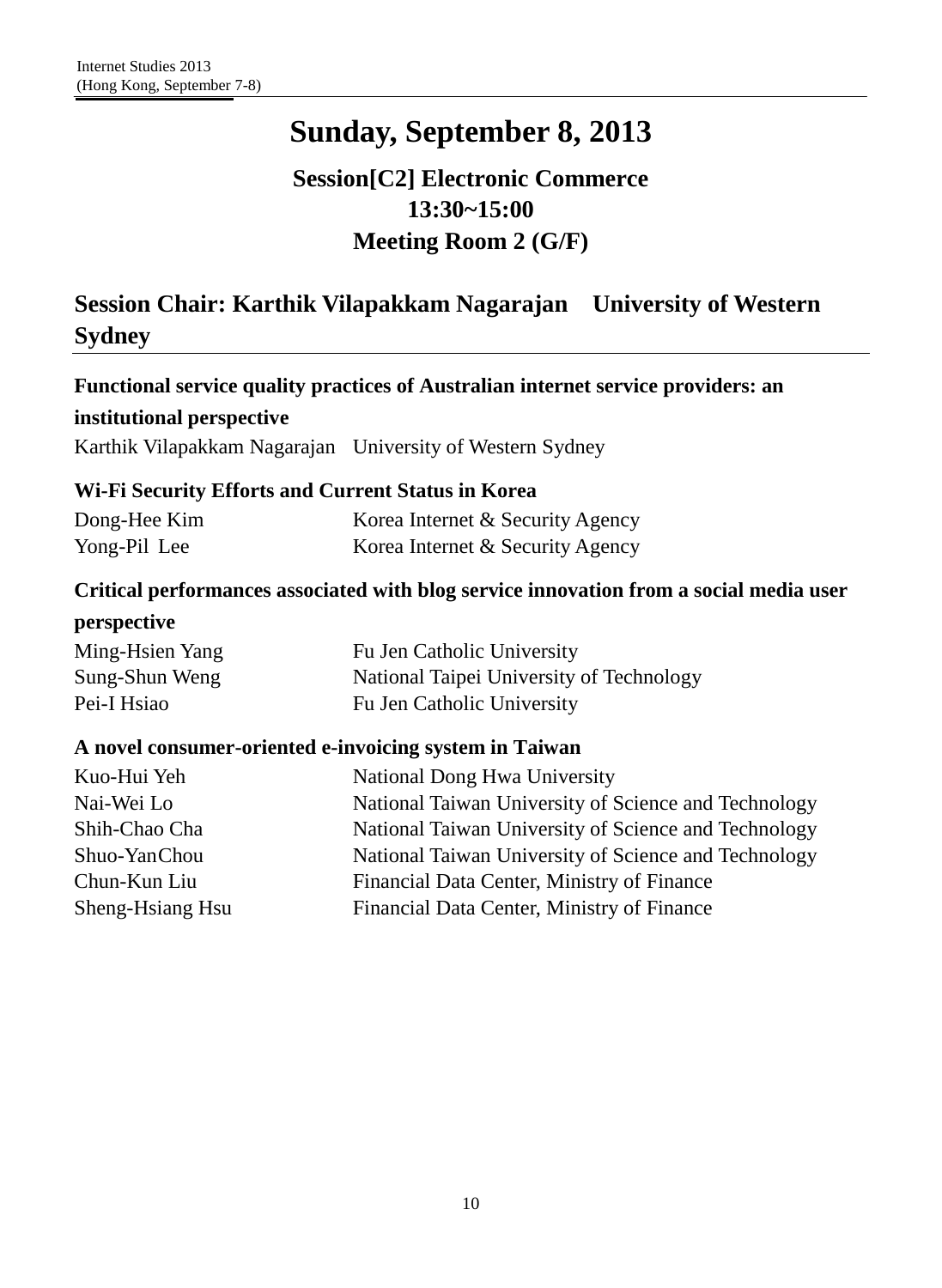## **Session[C2] Electronic Commerce 13:30~15:00 Meeting Room 2 (G/F)**

## **Session Chair: Karthik Vilapakkam Nagarajan University of Western Sydney**

| Functional service quality practices of Australian internet service providers: an |
|-----------------------------------------------------------------------------------|
| institutional perspective                                                         |

Karthik Vilapakkam Nagarajan University of Western Sydney

### **Wi-Fi Security Efforts and Current Status in Korea**

| Dong-Hee Kim | Korea Internet & Security Agency |
|--------------|----------------------------------|
| Yong-Pil Lee | Korea Internet & Security Agency |

### **Critical performances associated with blog service innovation from a social media user**

#### **perspective**

| Ming-Hsien Yang | Fu Jen Catholic University               |
|-----------------|------------------------------------------|
| Sung-Shun Weng  | National Taipei University of Technology |
| Pei-I Hsiao     | Fu Jen Catholic University               |

#### **A novel consumer-oriented e-invoicing system in Taiwan**

| Kuo-Hui Yeh      | National Dong Hwa University                         |
|------------------|------------------------------------------------------|
| Nai-Wei Lo       | National Taiwan University of Science and Technology |
| Shih-Chao Cha    | National Taiwan University of Science and Technology |
| Shuo-YanChou     | National Taiwan University of Science and Technology |
| Chun-Kun Liu     | Financial Data Center, Ministry of Finance           |
| Sheng-Hsiang Hsu | Financial Data Center, Ministry of Finance           |
|                  |                                                      |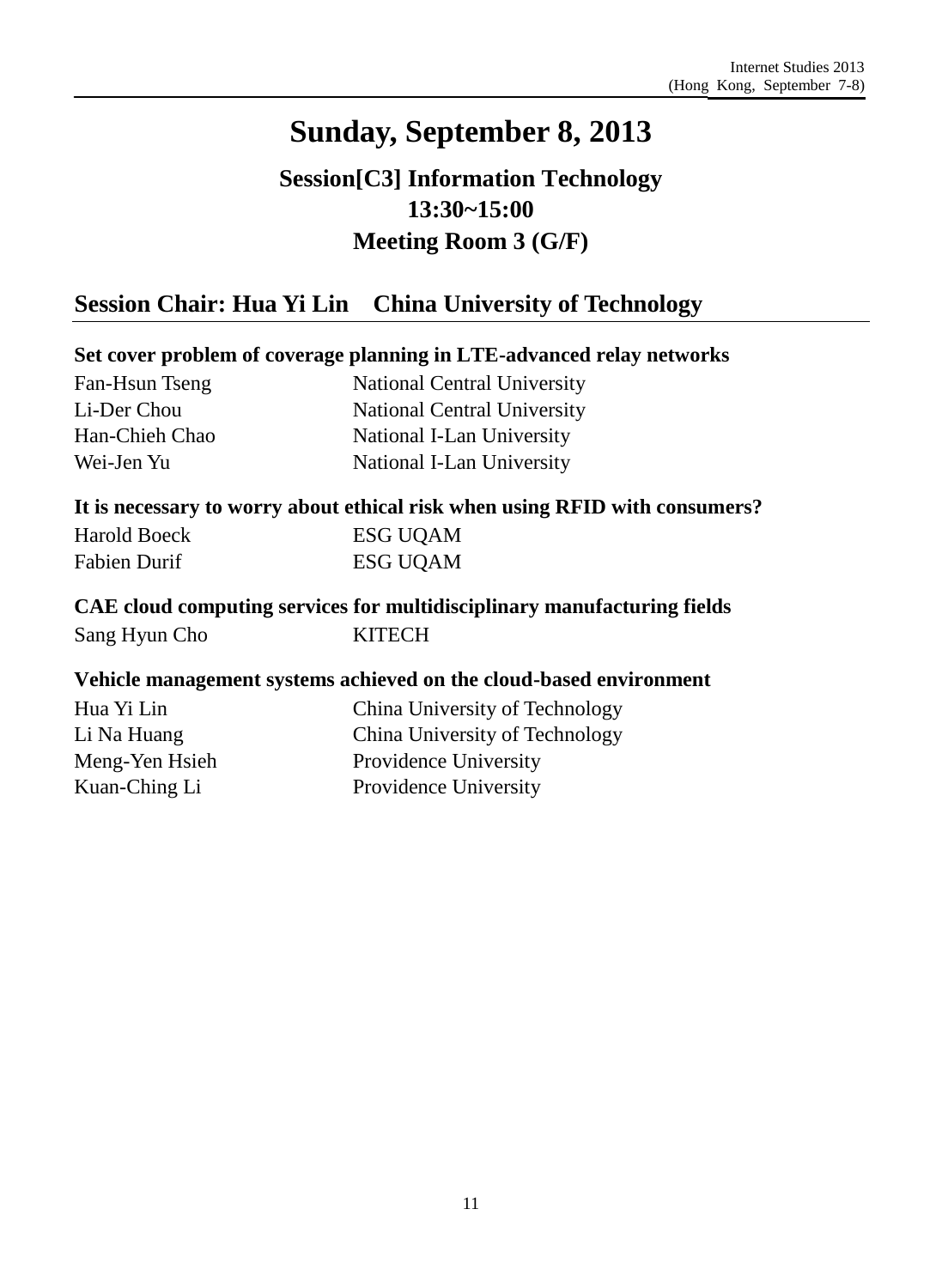## **Session[C3] Information Technology 13:30~15:00 Meeting Room 3 (G/F)**

### **Session Chair: Hua Yi Lin China University of Technology**

### **Set cover problem of coverage planning in LTE-advanced relay networks**

| Fan-Hsun Tseng |
|----------------|
| Li-Der Chou    |
| Han-Chieh Chao |
| Wei-Jen Yu     |

National Central University National Central University National I-Lan University National I-Lan University

#### **It is necessary to worry about ethical risk when using RFID with consumers?**

| Harold Boeck | <b>ESG UQAM</b> |
|--------------|-----------------|
| Fabien Durif | <b>ESG UQAM</b> |

### **CAE cloud computing services for multidisciplinary manufacturing fields** Sang Hyun Cho KITECH

#### **Vehicle management systems achieved on the cloud-based environment**

Hua Yi Lin Li Na Huang Meng-Yen Hsieh Kuan-Ching Li

China University of Technology China University of Technology Providence University Providence University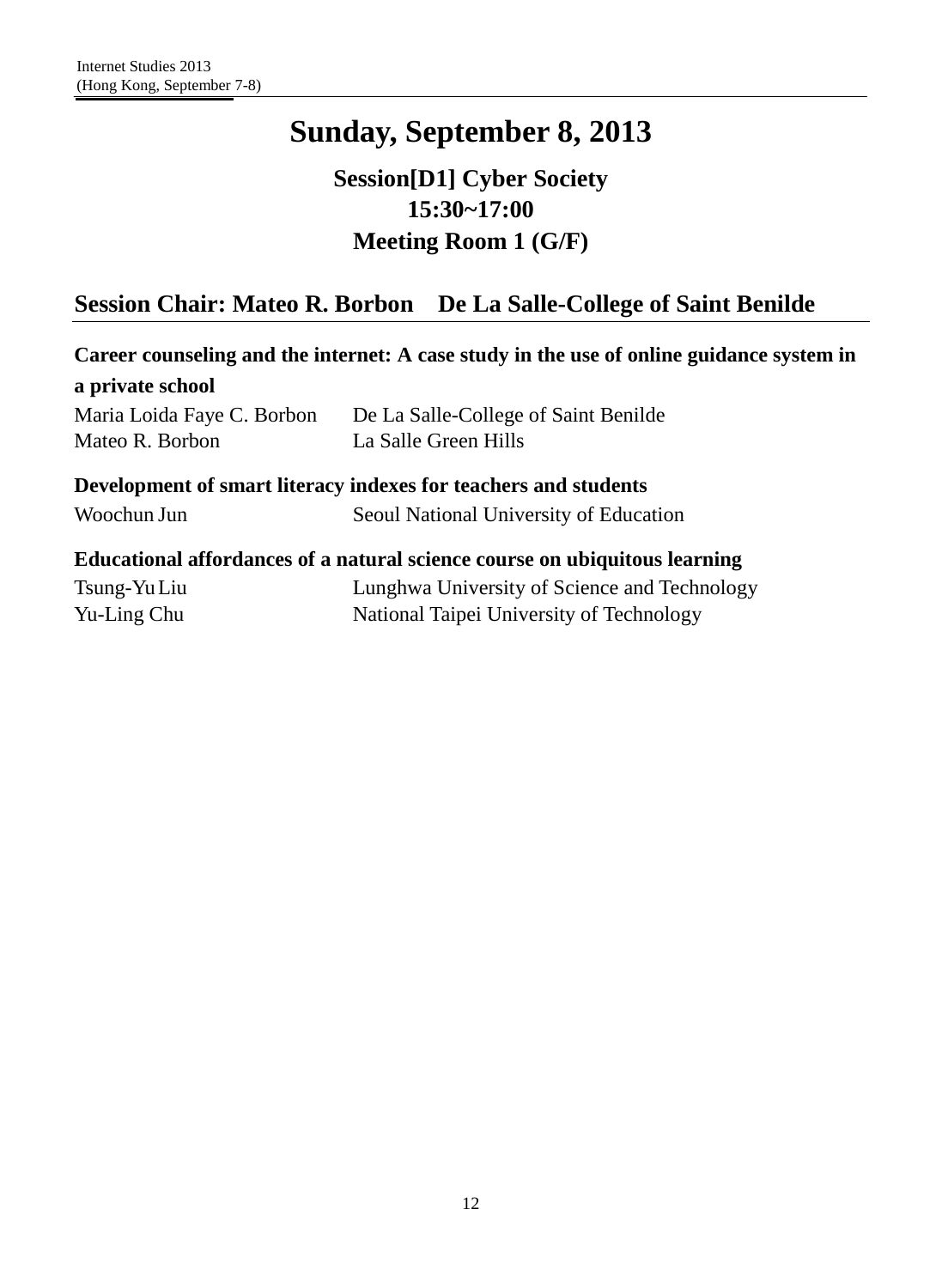## **Session[D1] Cyber Society 15:30~17:00 Meeting Room 1 (G/F)**

## **Session Chair: Mateo R. Borbon De La Salle-College of Saint Benilde**

| Career counseling and the internet: A case study in the use of online guidance system in |                                                                            |  |
|------------------------------------------------------------------------------------------|----------------------------------------------------------------------------|--|
| a private school                                                                         |                                                                            |  |
| Maria Loida Faye C. Borbon                                                               | De La Salle-College of Saint Benilde                                       |  |
| Mateo R. Borbon                                                                          | La Salle Green Hills                                                       |  |
|                                                                                          | Development of smart literacy indexes for teachers and students            |  |
| Woochun Jun                                                                              | Seoul National University of Education                                     |  |
|                                                                                          | Educational affordances of a natural science course on ubiquitous learning |  |
| Tsung-Yu Liu                                                                             | Lunghwa University of Science and Technology                               |  |
| Yu-Ling Chu                                                                              | National Taipei University of Technology                                   |  |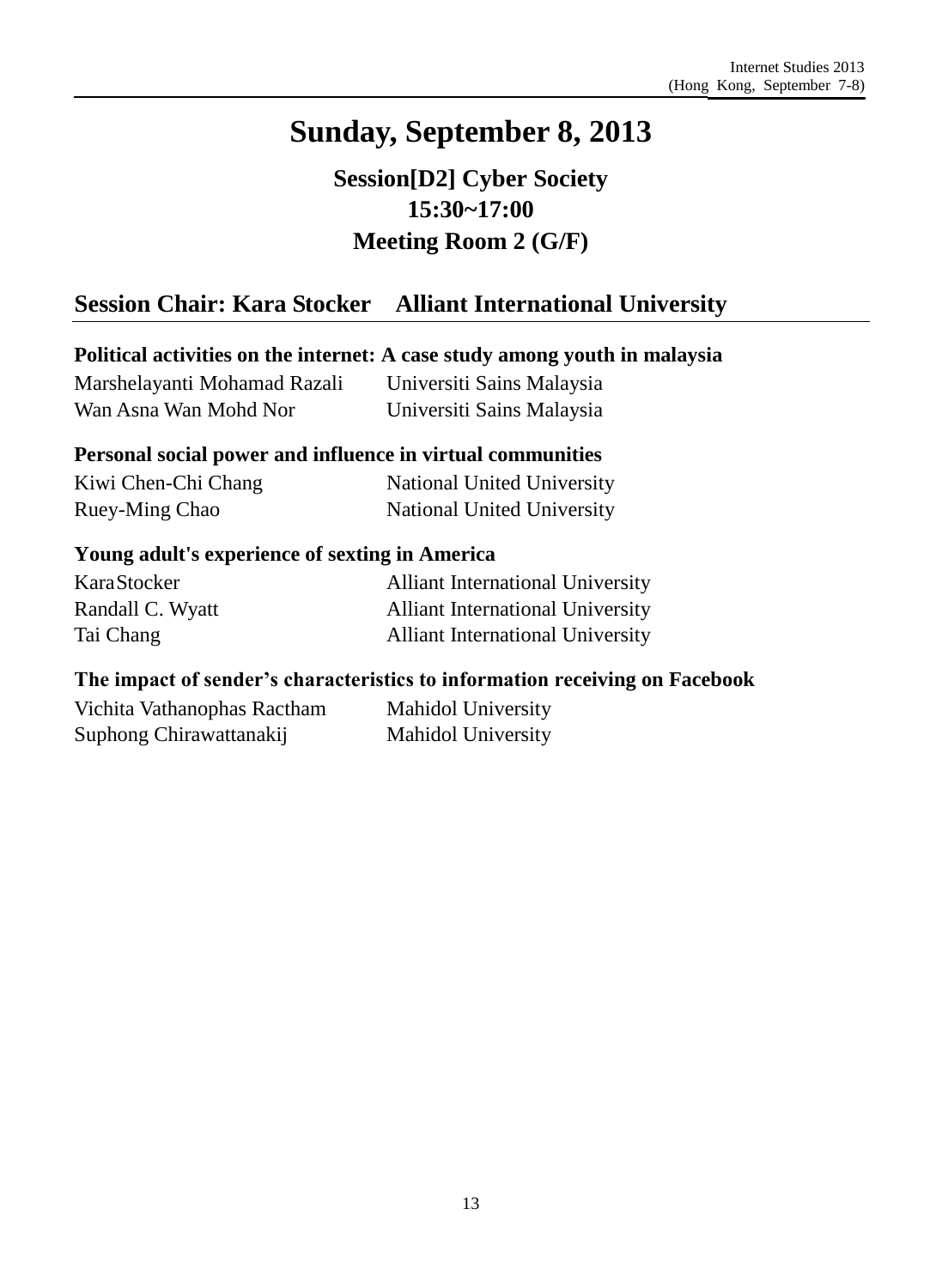**Session[D2] Cyber Society 15:30~17:00 Meeting Room 2 (G/F)**

## **Session Chair: Kara Stocker Alliant International University**

### **Political activities on the internet: A case study among youth in malaysia**

| Marshelayanti Mohamad Razali | Universiti Sains Malaysia |
|------------------------------|---------------------------|
| Wan Asna Wan Mohd Nor        | Universiti Sains Malaysia |

#### **Personal social power and influence in virtual communities**

| Kiwi Chen-Chi Chang | National United University |
|---------------------|----------------------------|
| Ruey-Ming Chao      | National United University |

#### **Young adult's experience of sexting in America**

| KaraStocker      | <b>Alliant International University</b> |
|------------------|-----------------------------------------|
| Randall C. Wyatt | <b>Alliant International University</b> |
| Tai Chang        | <b>Alliant International University</b> |

### **The impact of sender's characteristics to information receiving on Facebook**

Vichita Vathanophas Ractham Suphong Chirawattanakij

Mahidol University Mahidol University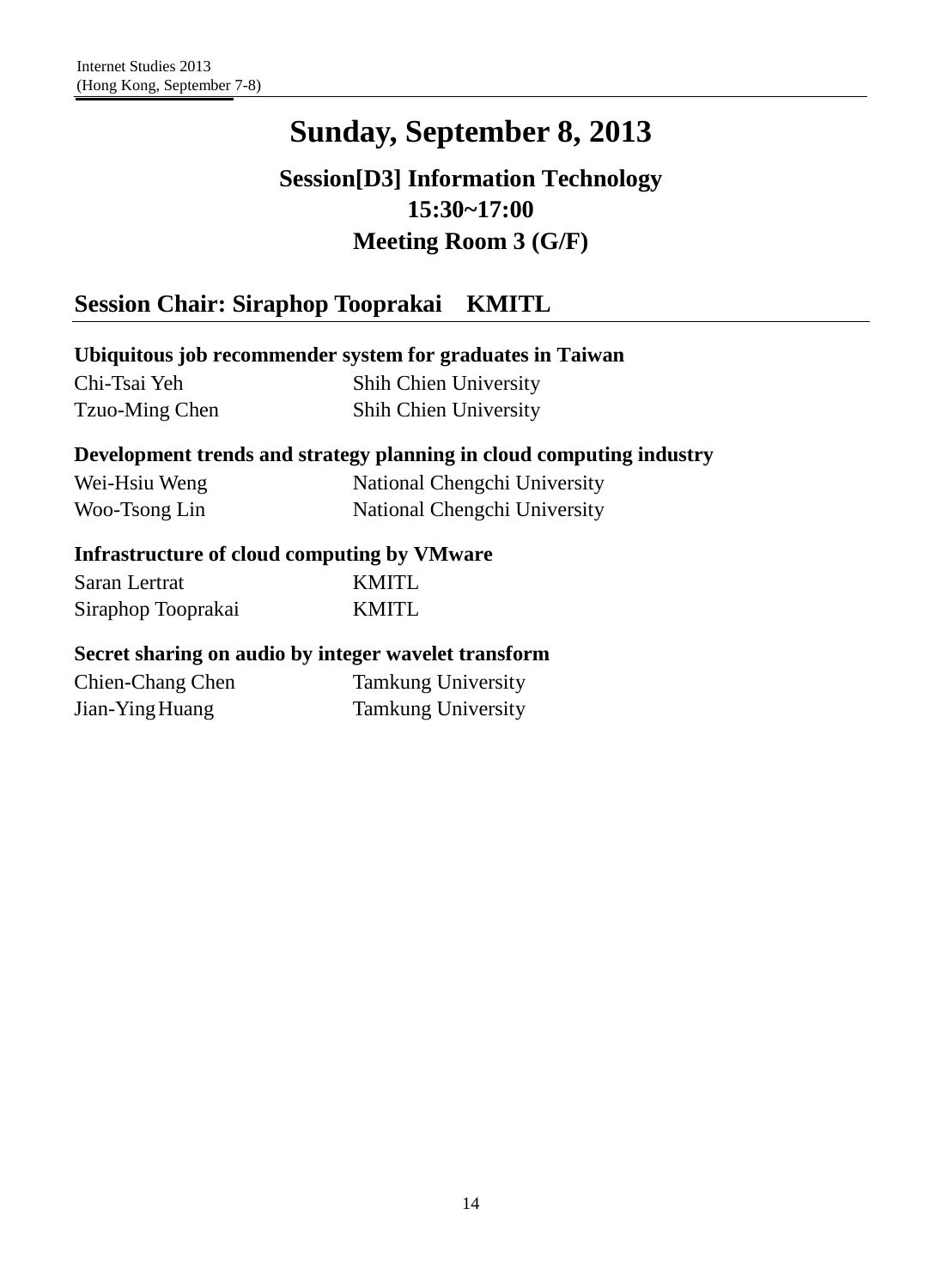## **Session[D3] Information Technology 15:30~17:00 Meeting Room 3 (G/F)**

## **Session Chair: Siraphop Tooprakai KMITL**

### **Ubiquitous job recommender system for graduates in Taiwan**

Chi-Tsai Yeh Tzuo-Ming Chen Shih Chien University Shih Chien University

### **Development trends and strategy planning in cloud computing industry**

| Wei-Hsiu Weng | National Chengchi University |
|---------------|------------------------------|
| Woo-Tsong Lin | National Chengchi University |

### **Infrastructure of cloud computing by VMware**

| Saran Lertrat      | KMITL |
|--------------------|-------|
| Siraphop Tooprakai | KMITL |

#### **Secret sharing on audio by integer wavelet transform**

Chien-Chang Chen Jian-YingHuang Tamkung University Tamkung University